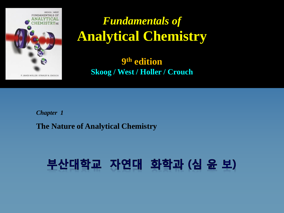

# *Fundamentals of*  **Analytical Chemistry**

 **9 th edition Skoog / West / Holler / Crouch**

*Chapter 1* **The Nature of Analytical Chemistry**

# 부산대학교 자연대 화학과 (심 윤 보)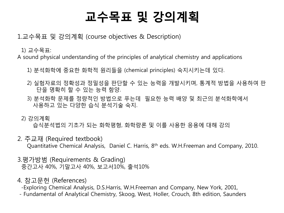# 교수목표 및 강의계획

1.교수목표 및 강의계획 (course objectives & Description)

1) 교수목표:

A sound physical understanding of the principles of analytical chemistry and applications

- 1) 분석화학에 중요한 화학적 원리들을 (chemical principles) 숙지시키는데 있다.
- 2) 실험자료의 정확성과 정밀성을 판단할 수 있는 능력을 개발시키며, 통계적 방법을 사용하여 판 단을 명확히 할 수 있는 능력 함양.
- 3) 분석화학 문제를 정량적인 방법으로 푸는데 필요한 능력 배양 및 최근의 분석화학에서 사용하고 있는 다양한 습식 분석기술 숙지.
- 2) 강의계획

습식분석법의 기초가 되는 화학평형, 화학량론 및 이를 사용한 응용에 대해 강의

- 2. 주교재 (Required textbook) Quantitative Chemical Analysis, Daniel C. Harris, 8th eds. W.H.Freeman and Company, 2010.
- 3.평가방범 (Requirements & Grading) 중간고사 40%, 기말고사 40%, 보고서10%, 출석10%
- 4. 참고문헌 (References)
	- -Exploring Chemical Analysis, D.S.Harris, W.H.Freeman and Company, New York, 2001,
- Fundamental of Analytical Chemistry, Skoog, West, Holler, Crouch, 8th edition, Saunders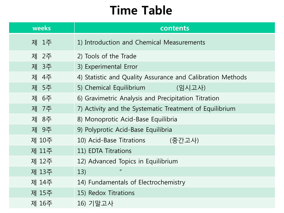# Time Table

| weeks | contents                                                   |
|-------|------------------------------------------------------------|
| 제 1주  | 1) Introduction and Chemical Measurements                  |
| 제 2주  | 2) Tools of the Trade                                      |
| 제 3주  | 3) Experimental Error                                      |
| 제 4주  | 4) Statistic and Quality Assurance and Calibration Methods |
| 제 5주  | 5) Chemical Equilibrium<br>(임시고사)                          |
| 제 6주  | 6) Gravimetric Analysis and Precipitation Titration        |
| 제 7주  | 7) Activity and the Systematic Treatment of Equilibrium    |
| 제 8주  | 8) Monoprotic Acid-Base Equilibria                         |
| 제 9주  | 9) Polyprotic Acid-Base Equilibria                         |
| 제 10주 | 10) Acid-Base Titrations<br>(중간고사)                         |
| 제 11주 | 11) EDTA Titrations                                        |
| 제 12주 | 12) Advanced Topics in Equilibrium                         |
| 제 13주 | $\boldsymbol{\mathsf{II}}$<br>13)                          |
| 제 14주 | 14) Fundamentals of Electrochemistry                       |
| 제 15주 | 15) Redox Titrations                                       |
| 제 16주 | 16) 기말고사                                                   |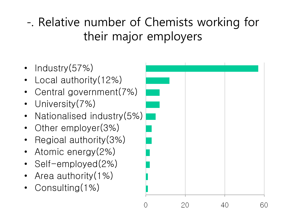-. Relative number of Chemists working for their major employers

- Industry(57%)
- Local authority (12%)
- Central government(7%)
- University (7%)
- Nationalised industry(5%)
- Other employer(3%)
- Regioal authority(3%)
- Atomic energy (2%)
- Self-employed(2%)
- Area authority (1%)
- Consulting(1%)

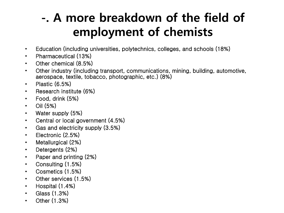# -. A more breakdown of the field of employment of chemists

- Education (including universities, polytechnics, colleges, and schools (18%)
- Pharmaceutical (13%)
- Other chemical (8.5%)
- Other industry (including transport, communications, mining, building, automotive, aerospace, textile, tobacco, photographic, etc.) (8%)
- Plastic (6.5%)
- Research institute (6%)
- Food, drink (5%)
- Oil (5%)
- Water supply (5%)
- Central or local government (4.5%)
- Gas and electricity supply (3.5%)
- Electronic (2.5%)
- Metallurgical (2%)
- Detergents (2%)
- Paper and printing (2%)
- Consulting (1.5%)
- Cosmetics (1.5%)
- Other services (1.5%)
- Hospital (1.4%)
- Glass (1.3%)
- Other (1.3%)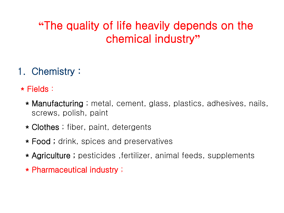## **"**The quality of life heavily depends on the chemical industry**"**

## 1. Chemistry :

\* Fields :

- \* Manufacturing ; metal, cement, glass, plastics, adhesives, nails, screws, polish, paint
- \* Clothes; fiber, paint, detergents
- \* Food ; drink, spices and preservatives
- \* Agriculture ; pesticides , fertilizer, animal feeds, supplements
- \* Pharmaceutical industry ;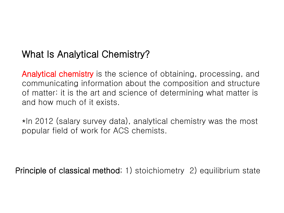## What Is Analytical Chemistry?

Analytical chemistry is the science of obtaining, processing, and communicating information about the composition and structure of matter: it is the art and science of determining what matter is and how much of it exists.

\*In 2012 (salary survey data), analytical chemistry was the most popular field of work for ACS chemists.

Principle of classical method; 1) stoichiometry 2) equilibrium state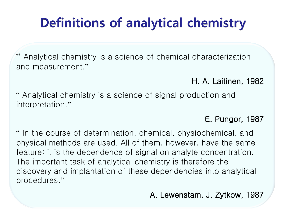# Definitions of analytical chemistry

Analytical chemistry is a science of chemical characterization and measurement."

## H. A. Laitinen, 1982

" Analytical chemistry is a science of signal production and interpretation."

## E. Pungor, 1987

" In the course of determination, chemical, physiochemical, and physical methods are used. All of them, however, have the same feature: it is the dependence of signal on analyte concentration. The important task of analytical chemistry is therefore the discovery and implantation of these dependencies into analytical procedures."

A. Lewenstam, J. Zytkow, 1987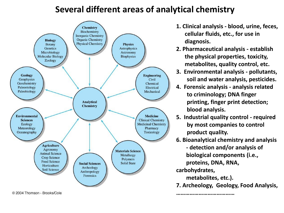## **Several different areas of analytical chemistry**



- **1. Clinical analysis - blood, urine, feces, cellular fluids, etc., for use in diagnosis.**
- **2. Pharmaceutical analysis - establish the physical properties, toxicity, metabolites, quality control, etc.**
- **3. Environmental analysis - pollutants, soil and water analysis, pesticides.**
- **4. Forensic analysis - analysis related to criminology; DNA finger printing, finger print detection; blood analysis.**
- **5. Industrial quality control - required by most companies to control product quality.**
- **6. Bioanalytical chemistry and analysis - detection and/or analysis of biological components (i.e.,**

 **proteins, DNA, RNA,** 

**carbohydrates,** 

 **metabolites, etc.).** 

**…………………………………**

**7. Archeology, Geology, Food Analysis,** 

@ 2004 Thomson - Brooks/Cole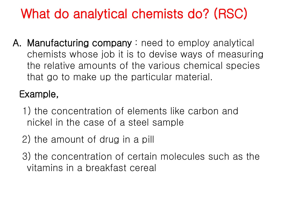# What do analytical chemists do? (RSC)

A. Manufacturing company : need to employ analytical chemists whose job it is to devise ways of measuring the relative amounts of the various chemical species that go to make up the particular material.

## Example,

- 1) the concentration of elements like carbon and nickel in the case of a steel sample
- 2) the amount of drug in a pill
- 3) the concentration of certain molecules such as the vitamins in a breakfast cereal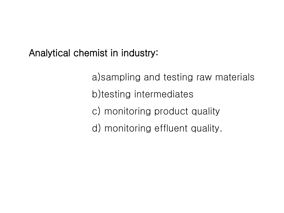Analytical chemist in industry:

 a)sampling and testing raw materials b)testing intermediates c) monitoring product quality d) monitoring effluent quality.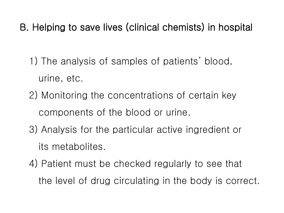B. Helping to save lives (clinical chemists) in hospital

- 1) The analysis of samples of patients' blood, urine, etc.
- 2) Monitoring the concentrations of certain key components of the blood or urine.
- 3) Analysis for the particular active ingredient or its metabolites.
- 4) Patient must be checked regularly to see that the level of drug circulating in the body is correct.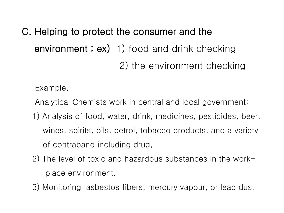C. Helping to protect the consumer and the environment; ex) 1) food and drink checking 2) the environment checking

Example,

- Analytical Chemists work in central and local government;
- 1) Analysis of food, water, drink, medicines, pesticides, beer, wines, spirits, oils, petrol, tobacco products, and a variety of contraband including drug,
- 2) The level of toxic and hazardous substances in the work place environment.
- 3) Monitoring-asbestos fibers, mercury vapour, or lead dust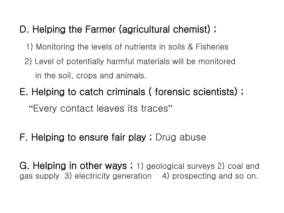## D. Helping the Farmer (agricultural chemist) ;

- 1) Monitoring the levels of nutrients in soils & Fisheries
- 2) Level of potentially harmful materials will be monitored in the soil, crops and animals.
- E. Helping to catch criminals ( forensic scientists) ; "Every contact leaves its traces"
- F. Helping to ensure fair play ; Drug abuse

G. Helping in other ways; 1) geological surveys 2) coal and gas supply 3) electricity generation 4) prospecting and so on.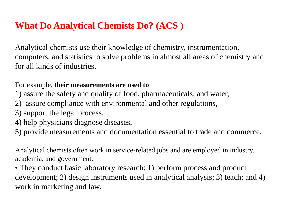## **What Do Analytical Chemists Do? (ACS )**

Analytical chemists use their knowledge of chemistry, instrumentation, computers, and statistics to solve problems in almost all areas of chemistry and for all kinds of industries.

#### For example, **their measurements are used to**

- 1) assure the safety and quality of food, pharmaceuticals, and water,
- 2) assure compliance with environmental and other regulations,
- 3) support the legal process,
- 4) help physicians diagnose diseases,
- 5) provide measurements and documentation essential to trade and commerce.

Analytical chemists often work in service-related jobs and are employed in industry, academia, and government.

• They conduct basic laboratory research; 1) perform process and product development; 2) design instruments used in analytical analysis; 3) teach; and 4) work in marketing and law.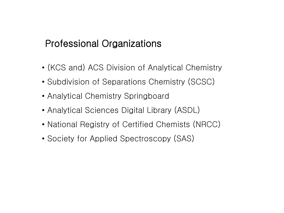## Professional Organizations

- (KCS and) ACS Division of Analytical Chemistry
- Subdivision of Separations Chemistry (SCSC)
- Analytical Chemistry Springboard
- Analytical Sciences Digital Library (ASDL)
- National Registry of Certified Chemists (NRCC)
- Society for Applied Spectroscopy (SAS)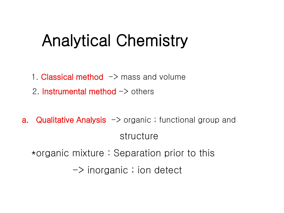# Analytical Chemistry

- 1. Classical method  $\rightarrow$  mass and volume
- 2. Instrumental method  $\rightarrow$  others
- **a. Qualitative Analysis**  $\rightarrow$  organic ; functional group and structure \*organic mixture : Separation prior to this  $\rightarrow$  inorganic ; ion detect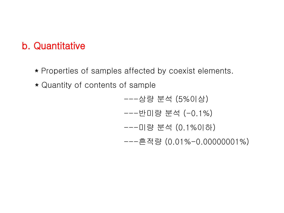## b. Quantitative

- \* Properties of samples affected by coexist elements.
- \* Quantity of contents of sample

 ---상량 분석 (5%이상) ---반미량 분석 (-0.1%) ---미량 분석 (0.1%이하) ---흔적량 (0.01%-0.00000001%)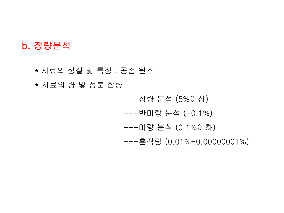## b. 정량분석

\* 시료의 성질 및 특징 : 공존 원소

\* 시료의 량 및 성분 함량

 ---상량 분석 (5%이상) ---반미량 분석 (-0.1%) ---미량 분석 (0.1%이하) ---흔적량 (0.01%-0.00000001%)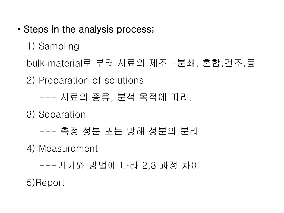• Steps in the analysis process;

1) Sampling

bulk material로 부터 시료의 제조 -분쇄, 혼합,건조,등

2) Preparation of solutions

--- 시료의 종류, 분석 목적에 따라.

3) Separation

--- 측정 성분 또는 방해 성분의 분리

4) Measurement

---기기와 방법에 따라 2,3 과정 차이

5)Report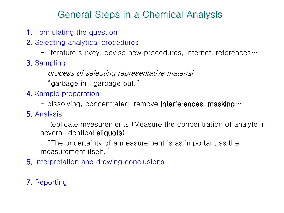## General Steps in a Chemical Analysis

- 1. Formulating the question
- 2. Selecting analytical procedures
	- $-$  literature survey, devise new procedures, internet, references $\cdots$
- 3. Sampling
	- process of selecting representative material
	- "garbage in—garbage out!"
- 4. Sample preparation
	- dissolving, concentrated, remove interferences, masking $\cdots$

## 5. Analysis

- Replicate measurements (Measure the concentration of analyte in several identical **aliquots**)
- "The uncertainty of a measurement is as important as the measurement itself."
- 6. Interpretation and drawing conclusions

## 7. Reporting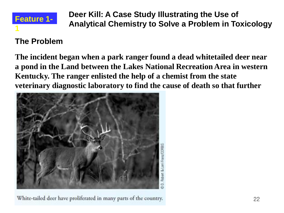

**Deer Kill: A Case Study Illustrating the Use of Analytical Chemistry to Solve a Problem in Toxicology**

## **The Problem**

**The incident began when a park ranger found a dead whitetailed deer near a pond in the Land between the Lakes National Recreation Area in western Kentucky. The ranger enlisted the help of a chemist from the state veterinary diagnostic laboratory to find the cause of death so that further** 



White-tailed deer have proliferated in many parts of the country.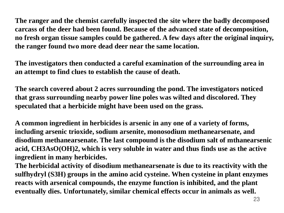**The ranger and the chemist carefully inspected the site where the badly decomposed carcass of the deer had been found. Because of the advanced state of decomposition, no fresh organ tissue samples could be gathered. A few days after the original inquiry, the ranger found two more dead deer near the same location.**

**The investigators then conducted a careful examination of the surrounding area in an attempt to find clues to establish the cause of death.**

**The search covered about 2 acres surrounding the pond. The investigators noticed that grass surrounding nearby power line poles was wilted and discolored. They speculated that a herbicide might have been used on the grass.**

**A common ingredient in herbicides is arsenic in any one of a variety of forms, including arsenic trioxide, sodium arsenite, monosodium methanearsenate, and disodium methanearsenate. The last compound is the disodium salt of mthanearsenic acid, CH3AsO(OH)2, which is very soluble in water and thus finds use as the active ingredient in many herbicides.**

**The herbicidal activity of disodium methanearsenate is due to its reactivity with the sulfhydryl (S3H) groups in the amino acid cysteine. When cysteine in plant enzymes reacts with arsenical compounds, the enzyme function is inhibited, and the plant eventually dies. Unfortunately, similar chemical effects occur in animals as well.**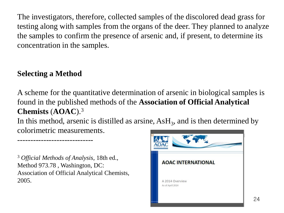The investigators, therefore, collected samples of the discolored dead grass for testing along with samples from the organs of the deer. They planned to analyze the samples to confirm the presence of arsenic and, if present, to determine its concentration in the samples.

## **Selecting a Method**

A scheme for the quantitative determination of arsenic in biological samples is found in the published methods of the **Association of Official Analytical Chemists** (**AOAC**).<sup>3</sup>

In this method, arsenic is distilled as arsine,  $\text{AsH}_3$ , and is then determined by colorimetric measurements.

<sup>3</sup> *Official Methods of Analysis*, 18th ed., Method 973.78 , Washington, DC: Association of Official Analytical Chemists, 2005.

-----------------------------

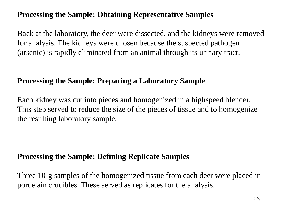## **Processing the Sample: Obtaining Representative Samples**

Back at the laboratory, the deer were dissected, and the kidneys were removed for analysis. The kidneys were chosen because the suspected pathogen (arsenic) is rapidly eliminated from an animal through its urinary tract.

#### **Processing the Sample: Preparing a Laboratory Sample**

Each kidney was cut into pieces and homogenized in a highspeed blender. This step served to reduce the size of the pieces of tissue and to homogenize the resulting laboratory sample.

### **Processing the Sample: Defining Replicate Samples**

Three 10-g samples of the homogenized tissue from each deer were placed in porcelain crucibles. These served as replicates for the analysis.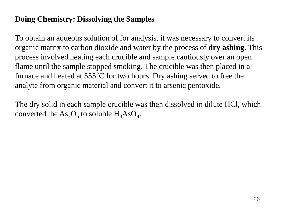#### **Doing Chemistry: Dissolving the Samples**

To obtain an aqueous solution of for analysis, it was necessary to convert its organic matrix to carbon dioxide and water by the process of **dry ashing**. This process involved heating each crucible and sample cautiously over an open flame until the sample stopped smoking. The crucible was then placed in a furnace and heated at 555°C for two hours. Dry ashing served to free the analyte from organic material and convert it to arsenic pentoxide.

The dry solid in each sample crucible was then dissolved in dilute HCl, which converted the  $\text{As}_2\text{O}_5$  to soluble  $\text{H}_3\text{AsO}_4$ .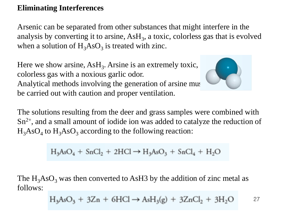#### **Eliminating Interferences**

Arsenic can be separated from other substances that might interfere in the analysis by converting it to arsine,  $\text{AsH}_3$ , a toxic, colorless gas that is evolved when a solution of  $H_3AsO_3$  is treated with zinc.

Here we show arsine,  $AsH<sub>3</sub>$ . Arsine is an extremely toxic, colorless gas with a noxious garlic odor. Analytical methods involving the generation of arsine must be carried out with caution and proper ventilation.



The solutions resulting from the deer and grass samples were combined with  $Sn<sup>2+</sup>$ , and a small amount of iodide ion was added to catalyze the reduction of  $H_3AsO_4$  to  $H_3AsO_3$  according to the following reaction:

$$
H_3AsO_4 + SnCl_2 + 2HCl \rightarrow H_3AsO_3 + SnCl_4 + H_2O
$$

The  $H_3AsO_3$  was then converted to AsH3 by the addition of zinc metal as follows:

$$
H_3AsO_3 + 3Zn + 6HCl \rightarrow AsH_3(g) + 3ZnCl_2 + 3H_2O \qquad \qquad \text{27}
$$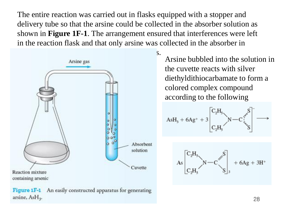The entire reaction was carried out in flasks equipped with a stopper and delivery tube so that the arsine could be collected in the absorber solution as shown in **Figure 1F-1**. The arrangement ensured that interferences were left in the reaction flask and that only arsine was collected in the absorber in



Figure 1F-1 An easily constructed apparatus for generating arsine, AsH<sub>3</sub>.

Arsine bubbled into the solution in the cuvette reacts with silver diethyldithiocarbamate to form a colored complex compound according to the following

$$
AsH_s+6Ag^++3\begin{bmatrix}C_2H_s\\&N-C\end{bmatrix}S^{-}\\C_2H_s\begin{bmatrix}\\&S\end{bmatrix} \longrightarrow
$$

28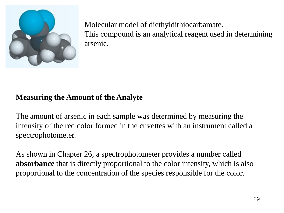

Molecular model of diethyldithiocarbamate. This compound is an analytical reagent used in determining arsenic.

### **Measuring the Amount of the Analyte**

The amount of arsenic in each sample was determined by measuring the intensity of the red color formed in the cuvettes with an instrument called a spectrophotometer.

As shown in Chapter 26, a spectrophotometer provides a number called **absorbance** that is directly proportional to the color intensity, which is also proportional to the concentration of the species responsible for the color.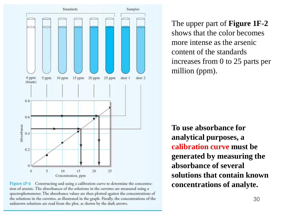

Figure 1F-2 Constructing and using a calibration curve to determine the concentration of arsenic. The absorbances of the solutions in the cuvettes are measured using a spectrophotometer. The absorbance values are then plotted against the concentrations of the solutions in the cuvettes, as illustrated in the graph. Finally, the concentrations of the unknown solutions are read from the plot, as shown by the dark arrows.

The upper part of **Figure 1F-2**  shows that the color becomes more intense as the arsenic content of the standards increases from 0 to 25 parts per million (ppm).

**To use absorbance for analytical purposes, a calibration curve must be generated by measuring the absorbance of several solutions that contain known concentrations of analyte.**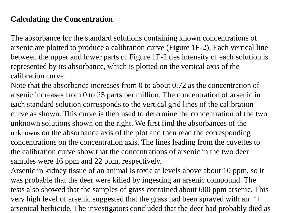### **Calculating the Concentration**

The absorbance for the standard solutions containing known concentrations of arsenic are plotted to produce a calibration curve (Figure 1F-2). Each vertical line between the upper and lower parts of Figure 1F-2 ties intensity of each solution is represented by its absorbance, which is plotted on the vertical axis of the calibration curve.

Note that the absorbance increases from 0 to about 0.72 as the concentration of arsenic increases from 0 to 25 parts per million. The concentration of arsenic in each standard solution corresponds to the vertical grid lines of the calibration curve as shown. This curve is then used to determine the concentration of the two unknown solutions shown on the right. We first find the absorbances of the unknowns on the absorbance axis of the plot and then read the corresponding concentrations on the concentration axis. The lines leading from the cuvettes to the calibration curve show that the concentrations of arsenic in the two deer samples were 16 ppm and 22 ppm, respectively.

very high level of arsenic suggested that the grass had been sprayed with an 31 Arsenic in kidney tissue of an animal is toxic at levels above about 10 ppm, so it was probable that the deer were killed by ingesting an arsenic compound. The tests also showed that the samples of grass contained about 600 ppm arsenic. This arsenical herbicide. The investigators concluded that the deer had probably died as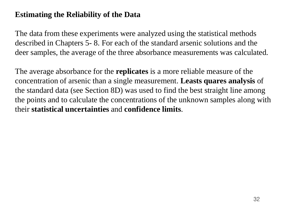## **Estimating the Reliability of the Data**

The data from these experiments were analyzed using the statistical methods described in Chapters 5- 8. For each of the standard arsenic solutions and the deer samples, the average of the three absorbance measurements was calculated.

The average absorbance for the **replicates** is a more reliable measure of the concentration of arsenic than a single measurement. **Leasts quares analysis** of the standard data (see Section 8D) was used to find the best straight line among the points and to calculate the concentrations of the unknown samples along with their **statistical uncertainties** and **confidence limits**.